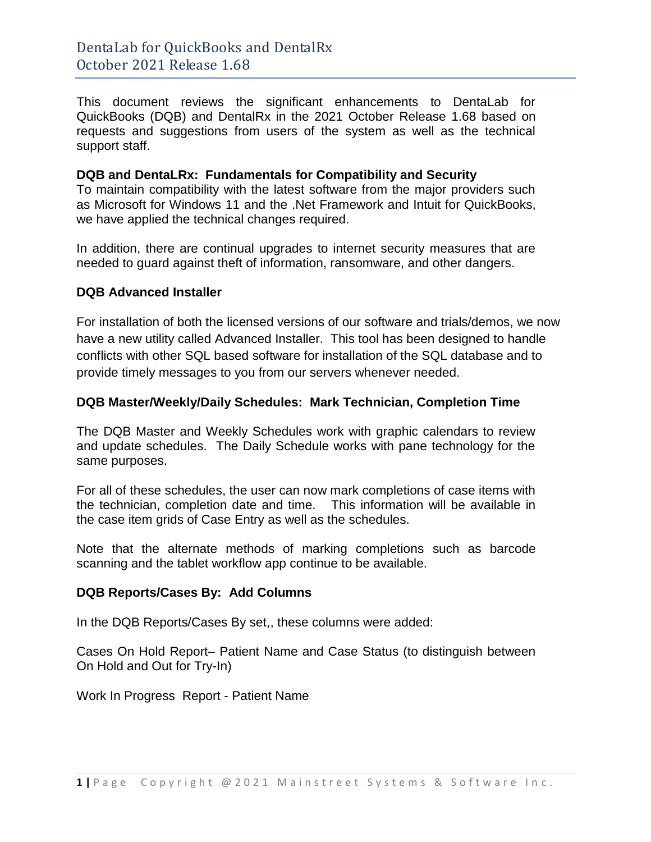This document reviews the significant enhancements to DentaLab for QuickBooks (DQB) and DentalRx in the 2021 October Release 1.68 based on requests and suggestions from users of the system as well as the technical support staff.

#### **DQB and DentaLRx: Fundamentals for Compatibility and Security**

To maintain compatibility with the latest software from the major providers such as Microsoft for Windows 11 and the .Net Framework and Intuit for QuickBooks, we have applied the technical changes required.

In addition, there are continual upgrades to internet security measures that are needed to guard against theft of information, ransomware, and other dangers.

## **DQB Advanced Installer**

For installation of both the licensed versions of our software and trials/demos, we now have a new utility called Advanced Installer. This tool has been designed to handle conflicts with other SQL based software for installation of the SQL database and to provide timely messages to you from our servers whenever needed.

## **DQB Master/Weekly/Daily Schedules: Mark Technician, Completion Time**

The DQB Master and Weekly Schedules work with graphic calendars to review and update schedules. The Daily Schedule works with pane technology for the same purposes.

For all of these schedules, the user can now mark completions of case items with the technician, completion date and time. This information will be available in the case item grids of Case Entry as well as the schedules.

Note that the alternate methods of marking completions such as barcode scanning and the tablet workflow app continue to be available.

#### **DQB Reports/Cases By: Add Columns**

In the DQB Reports/Cases By set,, these columns were added:

Cases On Hold Report– Patient Name and Case Status (to distinguish between On Hold and Out for Try-In)

Work In Progress Report - Patient Name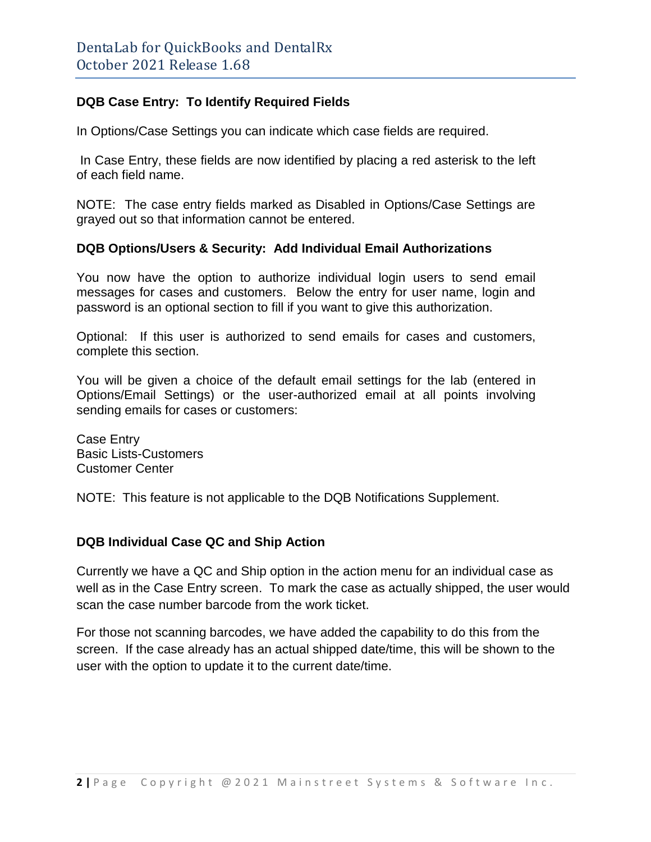# **DQB Case Entry: To Identify Required Fields**

In Options/Case Settings you can indicate which case fields are required.

In Case Entry, these fields are now identified by placing a red asterisk to the left of each field name.

NOTE: The case entry fields marked as Disabled in Options/Case Settings are grayed out so that information cannot be entered.

## **DQB Options/Users & Security: Add Individual Email Authorizations**

You now have the option to authorize individual login users to send email messages for cases and customers. Below the entry for user name, login and password is an optional section to fill if you want to give this authorization.

Optional: If this user is authorized to send emails for cases and customers, complete this section.

You will be given a choice of the default email settings for the lab (entered in Options/Email Settings) or the user-authorized email at all points involving sending emails for cases or customers:

Case Entry Basic Lists-Customers Customer Center

NOTE: This feature is not applicable to the DQB Notifications Supplement.

# **DQB Individual Case QC and Ship Action**

Currently we have a QC and Ship option in the action menu for an individual case as well as in the Case Entry screen. To mark the case as actually shipped, the user would scan the case number barcode from the work ticket.

For those not scanning barcodes, we have added the capability to do this from the screen. If the case already has an actual shipped date/time, this will be shown to the user with the option to update it to the current date/time.